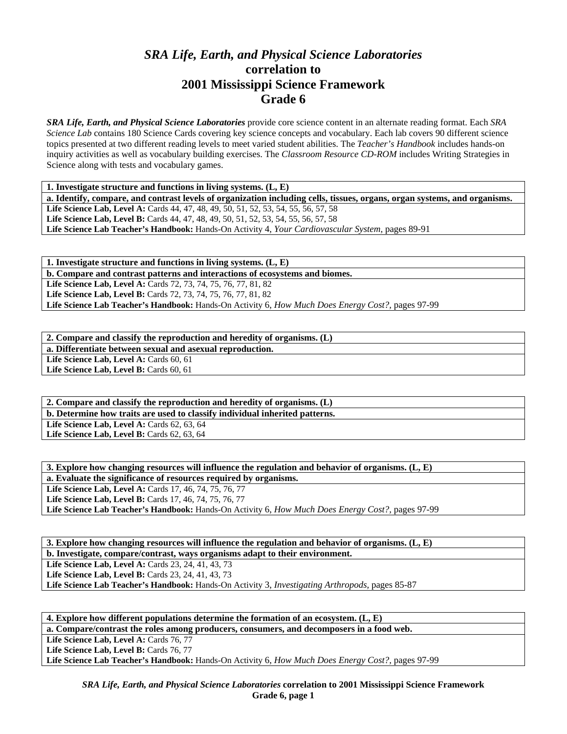## *SRA Life, Earth, and Physical Science Laboratories*  **correlation to 2001 Mississippi Science Framework Grade 6**

*SRA Life, Earth, and Physical Science Laboratories* provide core science content in an alternate reading format. Each *SRA Science Lab* contains 180 Science Cards covering key science concepts and vocabulary. Each lab covers 90 different science topics presented at two different reading levels to meet varied student abilities. The *Teacher's Handbook* includes hands-on inquiry activities as well as vocabulary building exercises. The *Classroom Resource CD-ROM* includes Writing Strategies in Science along with tests and vocabulary games.

**1. Investigate structure and functions in living systems. (L, E)** 

**a. Identify, compare, and contrast levels of organization including cells, tissues, organs, organ systems, and organisms.**  Life Science Lab, Level A: Cards 44, 47, 48, 49, 50, 51, 52, 53, 54, 55, 56, 57, 58 **Life Science Lab, Level B:** Cards 44, 47, 48, 49, 50, 51, 52, 53, 54, 55, 56, 57, 58 **Life Science Lab Teacher's Handbook:** Hands-On Activity 4, *Your Cardiovascular System,* pages 89-91

**1. Investigate structure and functions in living systems. (L, E) b. Compare and contrast patterns and interactions of ecosystems and biomes. Life Science Lab, Level A:** Cards 72, 73, 74, 75, 76, 77, 81, 82 **Life Science Lab, Level B:** Cards 72, 73, 74, 75, 76, 77, 81, 82 **Life Science Lab Teacher's Handbook:** Hands-On Activity 6, *How Much Does Energy Cost?,* pages 97-99

**2. Compare and classify the reproduction and heredity of organisms. (L) a. Differentiate between sexual and asexual reproduction.**  Life Science Lab, Level A: Cards 60, 61

Life Science Lab, Level B: Cards 60, 61

**2. Compare and classify the reproduction and heredity of organisms. (L) b. Determine how traits are used to classify individual inherited patterns. Life Science Lab, Level A: Cards 62, 63, 64 Life Science Lab, Level B: Cards 62, 63, 64** 

**3. Explore how changing resources will influence the regulation and behavior of organisms. (L, E) a. Evaluate the significance of resources required by organisms. Life Science Lab, Level A:** Cards 17, 46, 74, 75, 76, 77 **Life Science Lab, Level B:** Cards 17, 46, 74, 75, 76, 77 **Life Science Lab Teacher's Handbook:** Hands-On Activity 6, *How Much Does Energy Cost?,* pages 97-99

**3. Explore how changing resources will influence the regulation and behavior of organisms. (L, E)** 

**b. Investigate, compare/contrast, ways organisms adapt to their environment.** 

**Life Science Lab, Level A: Cards 23, 24, 41, 43, 73** 

Life Science Lab, Level B: Cards 23, 24, 41, 43, 73

**Life Science Lab Teacher's Handbook:** Hands-On Activity 3, *Investigating Arthropods,* pages 85-87

**4. Explore how different populations determine the formation of an ecosystem. (L, E) a. Compare/contrast the roles among producers, consumers, and decomposers in a food web.**  Life Science Lab, Level A: Cards 76, 77 Life Science Lab, Level B: Cards 76, 77 **Life Science Lab Teacher's Handbook:** Hands-On Activity 6, *How Much Does Energy Cost?,* pages 97-99

*SRA Life, Earth, and Physical Science Laboratories* **correlation to 2001 Mississippi Science Framework Grade 6, page 1**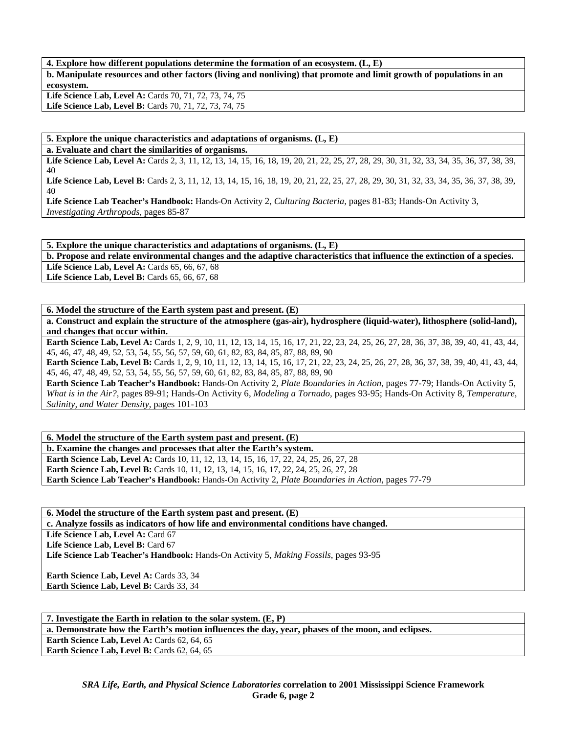**4. Explore how different populations determine the formation of an ecosystem. (L, E)** 

**b. Manipulate resources and other factors (living and nonliving) that promote and limit growth of populations in an ecosystem.** 

**Life Science Lab, Level A:** Cards 70, 71, 72, 73, 74, 75 Life Science Lab, Level B: Cards 70, 71, 72, 73, 74, 75

**5. Explore the unique characteristics and adaptations of organisms. (L, E)** 

**a. Evaluate and chart the similarities of organisms.** 

Life Science Lab, Level A: Cards 2, 3, 11, 12, 13, 14, 15, 16, 18, 19, 20, 21, 22, 25, 27, 28, 29, 30, 31, 32, 33, 34, 35, 36, 37, 38, 39, 40

Life Science Lab, Level B: Cards 2, 3, 11, 12, 13, 14, 15, 16, 18, 19, 20, 21, 22, 25, 27, 28, 29, 30, 31, 32, 33, 34, 35, 36, 37, 38, 39, 40

**Life Science Lab Teacher's Handbook:** Hands-On Activity 2, *Culturing Bacteria,* pages 81-83; Hands-On Activity 3, *Investigating Arthropods,* pages 85-87

**5. Explore the unique characteristics and adaptations of organisms. (L, E)** 

**b. Propose and relate environmental changes and the adaptive characteristics that influence the extinction of a species. Life Science Lab, Level A: Cards 65, 66, 67, 68** 

**Life Science Lab, Level B:** Cards 65, 66, 67, 68

**6. Model the structure of the Earth system past and present. (E)** 

**a. Construct and explain the structure of the atmosphere (gas-air), hydrosphere (liquid-water), lithosphere (solid-land), and changes that occur within.** 

Earth Science Lab, Level A: Cards 1, 2, 9, 10, 11, 12, 13, 14, 15, 16, 17, 21, 22, 23, 24, 25, 26, 27, 28, 36, 37, 38, 39, 40, 41, 43, 44, 45, 46, 47, 48, 49, 52, 53, 54, 55, 56, 57, 59, 60, 61, 82, 83, 84, 85, 87, 88, 89, 90

**Earth Science Lab, Level B:** Cards 1, 2, 9, 10, 11, 12, 13, 14, 15, 16, 17, 21, 22, 23, 24, 25, 26, 27, 28, 36, 37, 38, 39, 40, 41, 43, 44, 45, 46, 47, 48, 49, 52, 53, 54, 55, 56, 57, 59, 60, 61, 82, 83, 84, 85, 87, 88, 89, 90

**Earth Science Lab Teacher's Handbook:** Hands-On Activity 2, *Plate Boundaries in Action,* pages 77-79; Hands-On Activity 5, *What is in the Air?,* pages 89-91; Hands-On Activity 6, *Modeling a Tornado,* pages 93-95; Hands-On Activity 8, *Temperature, Salinity, and Water Density,* pages 101-103

**6. Model the structure of the Earth system past and present. (E) b. Examine the changes and processes that alter the Earth's system.** 

Earth Science Lab, Level A: Cards 10, 11, 12, 13, 14, 15, 16, 17, 22, 24, 25, 26, 27, 28 **Earth Science Lab, Level B:** Cards 10, 11, 12, 13, 14, 15, 16, 17, 22, 24, 25, 26, 27, 28 **Earth Science Lab Teacher's Handbook:** Hands-On Activity 2, *Plate Boundaries in Action,* pages 77-79

**6. Model the structure of the Earth system past and present. (E)** 

**c. Analyze fossils as indicators of how life and environmental conditions have changed.** 

Life Science Lab, Level A: Card 67

Life Science Lab, Level B: Card 67

**Life Science Lab Teacher's Handbook:** Hands-On Activity 5, *Making Fossils,* pages 93-95

**Earth Science Lab, Level A: Cards 33, 34** Earth Science Lab, Level B: Cards 33, 34

**7. Investigate the Earth in relation to the solar system. (E, P) a. Demonstrate how the Earth's motion influences the day, year, phases of the moon, and eclipses. Earth Science Lab, Level A: Cards 62, 64, 65 Earth Science Lab, Level B: Cards 62, 64, 65**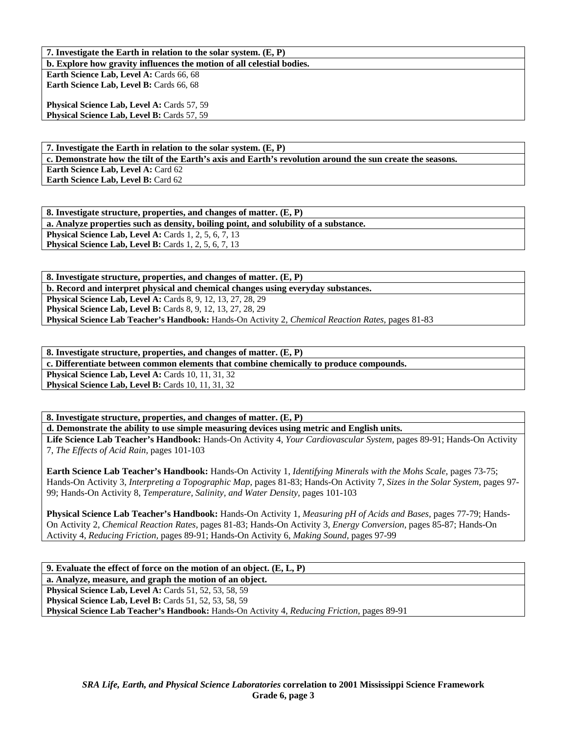**7. Investigate the Earth in relation to the solar system. (E, P)** 

**b. Explore how gravity influences the motion of all celestial bodies.** 

Earth Science Lab, Level A: Cards 66, 68 Earth Science Lab, Level B: Cards 66, 68

**Physical Science Lab, Level A: Cards 57, 59** Physical Science Lab, Level B: Cards 57, 59

**7. Investigate the Earth in relation to the solar system. (E, P) c. Demonstrate how the tilt of the Earth's axis and Earth's revolution around the sun create the seasons. Earth Science Lab, Level A: Card 62 Earth Science Lab, Level B:** Card 62

**8. Investigate structure, properties, and changes of matter. (E, P) a. Analyze properties such as density, boiling point, and solubility of a substance. Physical Science Lab, Level A: Cards 1, 2, 5, 6, 7, 13 Physical Science Lab, Level B:** Cards 1, 2, 5, 6, 7, 13

**8. Investigate structure, properties, and changes of matter. (E, P) b. Record and interpret physical and chemical changes using everyday substances. Physical Science Lab, Level A: Cards 8, 9, 12, 13, 27, 28, 29 Physical Science Lab, Level B:** Cards 8, 9, 12, 13, 27, 28, 29 **Physical Science Lab Teacher's Handbook:** Hands-On Activity 2, *Chemical Reaction Rates,* pages 81-83

| 8. Investigate structure, properties, and changes of matter. $(E, P)$                  |
|----------------------------------------------------------------------------------------|
| c. Differentiate between common elements that combine chemically to produce compounds. |
| <b>Physical Science Lab, Level A: Cards 10, 11, 31, 32</b>                             |
| <b>Physical Science Lab, Level B:</b> Cards 10, 11, 31, 32                             |
|                                                                                        |

**8. Investigate structure, properties, and changes of matter. (E, P) d. Demonstrate the ability to use simple measuring devices using metric and English units.** 

**Life Science Lab Teacher's Handbook:** Hands-On Activity 4, *Your Cardiovascular System,* pages 89-91; Hands-On Activity 7, *The Effects of Acid Rain,* pages 101-103

**Earth Science Lab Teacher's Handbook:** Hands-On Activity 1, *Identifying Minerals with the Mohs Scale,* pages 73-75; Hands-On Activity 3, *Interpreting a Topographic Map,* pages 81-83; Hands-On Activity 7, *Sizes in the Solar System,* pages 97- 99; Hands-On Activity 8, *Temperature, Salinity, and Water Density,* pages 101-103

**Physical Science Lab Teacher's Handbook:** Hands-On Activity 1, *Measuring pH of Acids and Bases,* pages 77-79; Hands-On Activity 2, *Chemical Reaction Rates,* pages 81-83; Hands-On Activity 3, *Energy Conversion,* pages 85-87; Hands-On Activity 4, *Reducing Friction,* pages 89-91; Hands-On Activity 6, *Making Sound,* pages 97-99

**9. Evaluate the effect of force on the motion of an object. (E, L, P) a. Analyze, measure, and graph the motion of an object. Physical Science Lab, Level A:** Cards 51, 52, 53, 58, 59 **Physical Science Lab, Level B:** Cards 51, 52, 53, 58, 59 **Physical Science Lab Teacher's Handbook:** Hands-On Activity 4, *Reducing Friction,* pages 89-91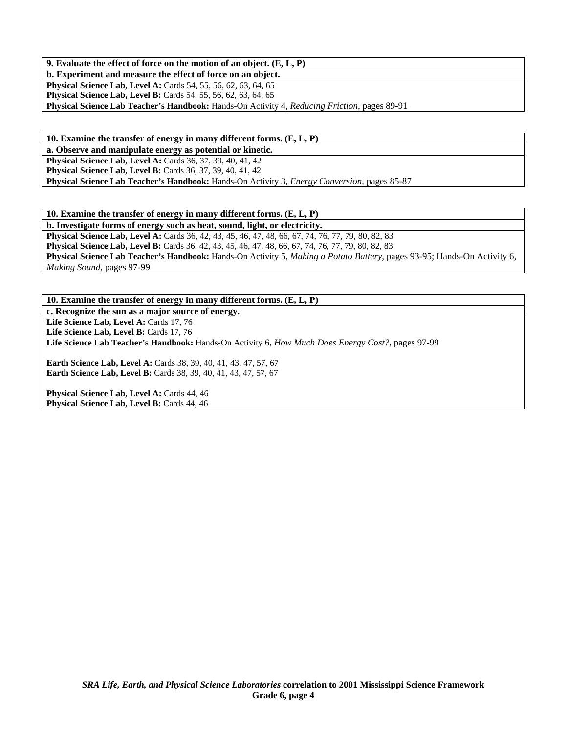**9. Evaluate the effect of force on the motion of an object. (E, L, P)** 

**b. Experiment and measure the effect of force on an object.** 

**Physical Science Lab, Level A:** Cards 54, 55, 56, 62, 63, 64, 65 **Physical Science Lab, Level B:** Cards 54, 55, 56, 62, 63, 64, 65

**Physical Science Lab Teacher's Handbook:** Hands-On Activity 4, *Reducing Friction,* pages 89-91

**10. Examine the transfer of energy in many different forms. (E, L, P)** 

**a. Observe and manipulate energy as potential or kinetic. Physical Science Lab, Level A: Cards 36, 37, 39, 40, 41, 42 Physical Science Lab, Level B:** Cards 36, 37, 39, 40, 41, 42 **Physical Science Lab Teacher's Handbook:** Hands-On Activity 3, *Energy Conversion,* pages 85-87

**10. Examine the transfer of energy in many different forms. (E, L, P)** 

**b. Investigate forms of energy such as heat, sound, light, or electricity. Physical Science Lab, Level A:** Cards 36, 42, 43, 45, 46, 47, 48, 66, 67, 74, 76, 77, 79, 80, 82, 83 **Physical Science Lab, Level B:** Cards 36, 42, 43, 45, 46, 47, 48, 66, 67, 74, 76, 77, 79, 80, 82, 83 **Physical Science Lab Teacher's Handbook:** Hands-On Activity 5, *Making a Potato Battery,* pages 93-95; Hands-On Activity 6, *Making Sound,* pages 97-99

**10. Examine the transfer of energy in many different forms. (E, L, P)** 

**c. Recognize the sun as a major source of energy.** 

Life Science Lab, Level A: Cards 17, 76

Life Science Lab, Level B: Cards 17, 76

**Life Science Lab Teacher's Handbook:** Hands-On Activity 6, *How Much Does Energy Cost?,* pages 97-99

**Earth Science Lab, Level A:** Cards 38, 39, 40, 41, 43, 47, 57, 67 **Earth Science Lab, Level B:** Cards 38, 39, 40, 41, 43, 47, 57, 67

Physical Science Lab, Level A: Cards 44, 46 Physical Science Lab, Level B: Cards 44, 46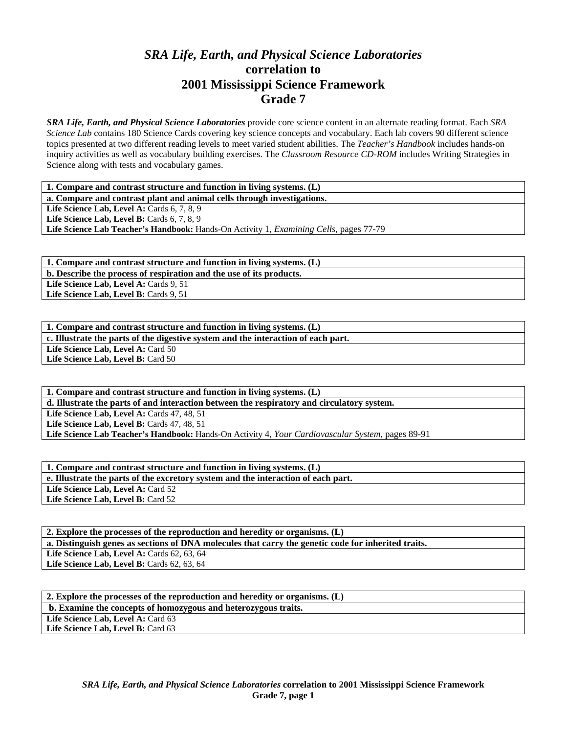## *SRA Life, Earth, and Physical Science Laboratories*  **correlation to 2001 Mississippi Science Framework Grade 7**

*SRA Life, Earth, and Physical Science Laboratories* provide core science content in an alternate reading format. Each *SRA Science Lab* contains 180 Science Cards covering key science concepts and vocabulary. Each lab covers 90 different science topics presented at two different reading levels to meet varied student abilities. The *Teacher's Handbook* includes hands-on inquiry activities as well as vocabulary building exercises. The *Classroom Resource CD-ROM* includes Writing Strategies in Science along with tests and vocabulary games.

**1. Compare and contrast structure and function in living systems. (L)** 

**a. Compare and contrast plant and animal cells through investigations.** 

Life Science Lab, Level A: Cards 6, 7, 8, 9

**Life Science Lab, Level B:** Cards 6, 7, 8, 9

**Life Science Lab Teacher's Handbook:** Hands-On Activity 1, *Examining Cells,* pages 77-79

**1. Compare and contrast structure and function in living systems. (L) b. Describe the process of respiration and the use of its products.**  Life Science Lab, Level A: Cards 9, 51

Life Science Lab, Level B: Cards 9, 51

**1. Compare and contrast structure and function in living systems. (L) c. Illustrate the parts of the digestive system and the interaction of each part.**  Life Science Lab, Level A: Card 50 Life Science Lab, Level B: Card 50

**1. Compare and contrast structure and function in living systems. (L) d. Illustrate the parts of and interaction between the respiratory and circulatory system. Life Science Lab, Level A: Cards 47, 48, 51 Life Science Lab, Level B: Cards 47, 48, 51 Life Science Lab Teacher's Handbook:** Hands-On Activity 4, *Your Cardiovascular System,* pages 89-91

**1. Compare and contrast structure and function in living systems. (L) e. Illustrate the parts of the excretory system and the interaction of each part.**  Life Science Lab, Level A: Card 52 Life Science Lab, Level B: Card 52

**2. Explore the processes of the reproduction and heredity or organisms. (L) a. Distinguish genes as sections of DNA molecules that carry the genetic code for inherited traits. Life Science Lab, Level A: Cards 62, 63, 64** Life Science Lab, Level B: Cards 62, 63, 64

| 2. Explore the processes of the reproduction and heredity or organisms. (L) |
|-----------------------------------------------------------------------------|
| b. Examine the concepts of homozygous and heterozygous traits.              |
| Life Science Lab, Level A: Card 63                                          |
| Life Science Lab, Level B: Card 63                                          |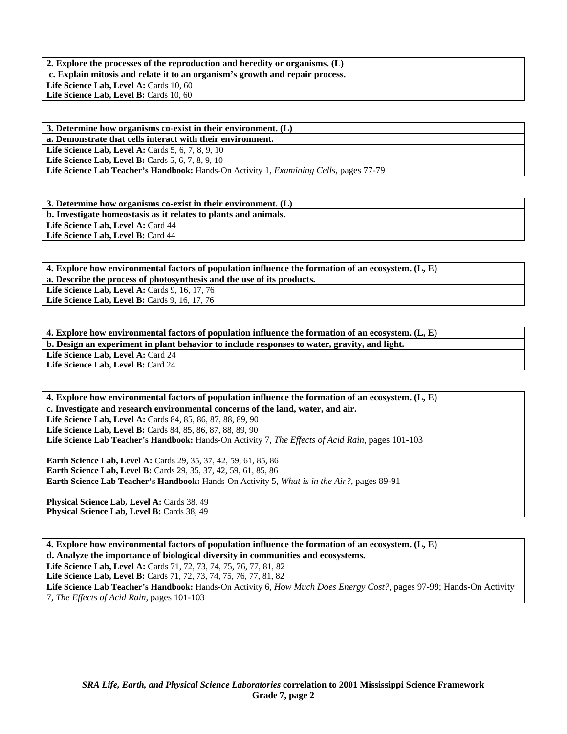**2. Explore the processes of the reproduction and heredity or organisms. (L) c. Explain mitosis and relate it to an organism's growth and repair process.**  Life Science Lab, Level A: Cards 10, 60 Life Science Lab, Level B: Cards 10, 60

**3. Determine how organisms co-exist in their environment. (L) a. Demonstrate that cells interact with their environment. Life Science Lab, Level A: Cards 5, 6, 7, 8, 9, 10 Life Science Lab, Level B:** Cards 5, 6, 7, 8, 9, 10 **Life Science Lab Teacher's Handbook:** Hands-On Activity 1, *Examining Cells,* pages 77-79

**3. Determine how organisms co-exist in their environment. (L) b. Investigate homeostasis as it relates to plants and animals.** 

Life Science Lab, Level A: Card 44 Life Science Lab, Level B: Card 44

**4. Explore how environmental factors of population influence the formation of an ecosystem. (L, E) a. Describe the process of photosynthesis and the use of its products.** 

Life Science Lab, Level A: Cards 9, 16, 17, 76

Life Science Lab, Level B: Cards 9, 16, 17, 76

**4. Explore how environmental factors of population influence the formation of an ecosystem. (L, E) b. Design an experiment in plant behavior to include responses to water, gravity, and light.**  Life Science Lab, Level A: Card 24 **Life Science Lab, Level B:** Card 24

**4. Explore how environmental factors of population influence the formation of an ecosystem. (L, E) c. Investigate and research environmental concerns of the land, water, and air. Life Science Lab, Level A:** Cards 84, 85, 86, 87, 88, 89, 90 Life Science Lab, Level B: Cards 84, 85, 86, 87, 88, 89, 90 **Life Science Lab Teacher's Handbook:** Hands-On Activity 7, *The Effects of Acid Rain,* pages 101-103 **Earth Science Lab, Level A:** Cards 29, 35, 37, 42, 59, 61, 85, 86

**Earth Science Lab, Level B:** Cards 29, 35, 37, 42, 59, 61, 85, 86 **Earth Science Lab Teacher's Handbook:** Hands-On Activity 5, *What is in the Air?,* pages 89-91

**Physical Science Lab, Level A: Cards 38, 49 Physical Science Lab, Level B: Cards 38, 49** 

**4. Explore how environmental factors of population influence the formation of an ecosystem. (L, E) d. Analyze the importance of biological diversity in communities and ecosystems.** 

Life Science Lab, Level A: Cards 71, 72, 73, 74, 75, 76, 77, 81, 82 Life Science Lab, Level B: Cards 71, 72, 73, 74, 75, 76, 77, 81, 82 **Life Science Lab Teacher's Handbook:** Hands-On Activity 6, *How Much Does Energy Cost?,* pages 97-99; Hands-On Activity 7, *The Effects of Acid Rain,* pages 101-103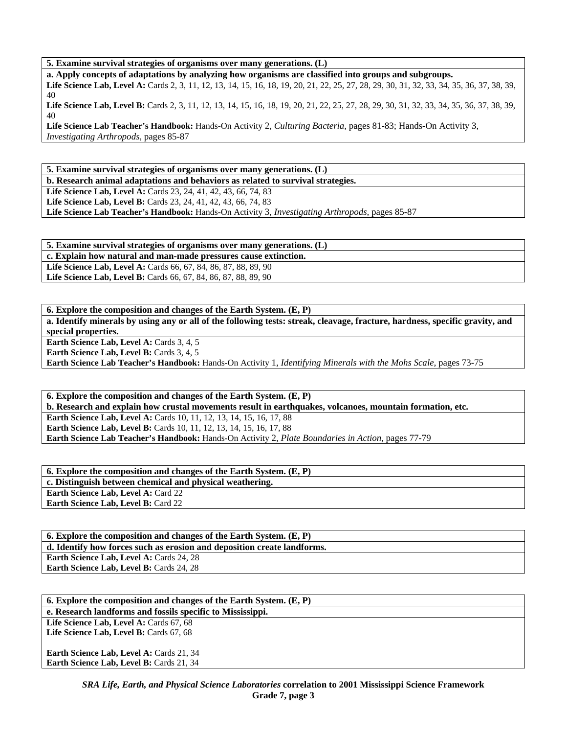**5. Examine survival strategies of organisms over many generations. (L)** 

**a. Apply concepts of adaptations by analyzing how organisms are classified into groups and subgroups.** 

Life Science Lab, Level A: Cards 2, 3, 11, 12, 13, 14, 15, 16, 18, 19, 20, 21, 22, 25, 27, 28, 29, 30, 31, 32, 33, 34, 35, 36, 37, 38, 39, 40

Life Science Lab, Level B: Cards 2, 3, 11, 12, 13, 14, 15, 16, 18, 19, 20, 21, 22, 25, 27, 28, 29, 30, 31, 32, 33, 34, 35, 36, 37, 38, 39, 40

**Life Science Lab Teacher's Handbook:** Hands-On Activity 2, *Culturing Bacteria,* pages 81-83; Hands-On Activity 3, *Investigating Arthropods,* pages 85-87

**5. Examine survival strategies of organisms over many generations. (L)** 

**b. Research animal adaptations and behaviors as related to survival strategies. Life Science Lab, Level A:** Cards 23, 24, 41, 42, 43, 66, 74, 83 **Life Science Lab, Level B:** Cards 23, 24, 41, 42, 43, 66, 74, 83

**Life Science Lab Teacher's Handbook:** Hands-On Activity 3, *Investigating Arthropods,* pages 85-87

**5. Examine survival strategies of organisms over many generations. (L) c. Explain how natural and man-made pressures cause extinction. Life Science Lab, Level A:** Cards 66, 67, 84, 86, 87, 88, 89, 90 **Life Science Lab, Level B:** Cards 66, 67, 84, 86, 87, 88, 89, 90

**6. Explore the composition and changes of the Earth System. (E, P) a. Identify minerals by using any or all of the following tests: streak, cleavage, fracture, hardness, specific gravity, and special properties.** 

Earth Science Lab, Level A: Cards 3, 4, 5

**Earth Science Lab, Level B: Cards 3, 4, 5** 

**Earth Science Lab Teacher's Handbook:** Hands-On Activity 1, *Identifying Minerals with the Mohs Scale,* pages 73-75

**6. Explore the composition and changes of the Earth System. (E, P) b. Research and explain how crustal movements result in earthquakes, volcanoes, mountain formation, etc. Earth Science Lab, Level A:** Cards 10, 11, 12, 13, 14, 15, 16, 17, 88 **Earth Science Lab, Level B:** Cards 10, 11, 12, 13, 14, 15, 16, 17, 88 **Earth Science Lab Teacher's Handbook:** Hands-On Activity 2, *Plate Boundaries in Action,* pages 77-79

**6. Explore the composition and changes of the Earth System. (E, P) c. Distinguish between chemical and physical weathering. Earth Science Lab, Level A:** Card 22 **Earth Science Lab, Level B:** Card 22

**6. Explore the composition and changes of the Earth System. (E, P) d. Identify how forces such as erosion and deposition create landforms.**  Earth Science Lab, Level A: Cards 24, 28 **Earth Science Lab, Level B: Cards 24, 28** 

| 6. Explore the composition and changes of the Earth System. $(E, P)$ |
|----------------------------------------------------------------------|
| e. Research landforms and fossils specific to Mississippi.           |
| Life Science Lab, Level A: Cards 67, 68                              |
| Life Science Lab, Level B: Cards 67, 68                              |
|                                                                      |
| <b>Earth Science Lab, Level A: Cards 21, 34</b>                      |
| <b>Earth Science Lab, Level B: Cards 21, 34</b>                      |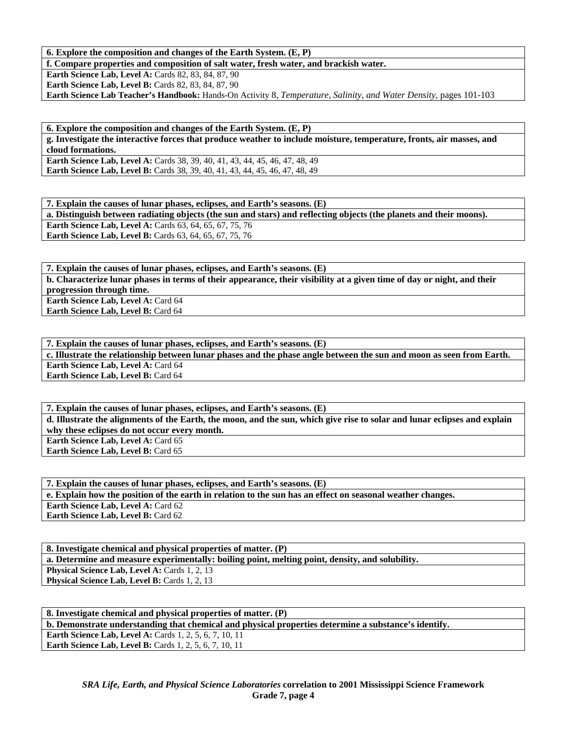## **6. Explore the composition and changes of the Earth System. (E, P)**

**f. Compare properties and composition of salt water, fresh water, and brackish water.** 

**Earth Science Lab, Level A: Cards 82, 83, 84, 87, 90 Earth Science Lab, Level B: Cards 82, 83, 84, 87, 90 Earth Science Lab Teacher's Handbook:** Hands-On Activity 8, *Temperature, Salinity, and Water Density,* pages 101-103

**6. Explore the composition and changes of the Earth System. (E, P) g. Investigate the interactive forces that produce weather to include moisture, temperature, fronts, air masses, and cloud formations.** 

**Earth Science Lab, Level A: Cards 38, 39, 40, 41, 43, 44, 45, 46, 47, 48, 49 Earth Science Lab, Level B:** Cards 38, 39, 40, 41, 43, 44, 45, 46, 47, 48, 49

**7. Explain the causes of lunar phases, eclipses, and Earth's seasons. (E) a. Distinguish between radiating objects (the sun and stars) and reflecting objects (the planets and their moons). Earth Science Lab, Level A:** Cards 63, 64, 65, 67, 75, 76 **Earth Science Lab, Level B:** Cards 63, 64, 65, 67, 75, 76

**7. Explain the causes of lunar phases, eclipses, and Earth's seasons. (E) b. Characterize lunar phases in terms of their appearance, their visibility at a given time of day or night, and their progression through time. Earth Science Lab, Level A: Card 64** 

**Earth Science Lab, Level B:** Card 64

**7. Explain the causes of lunar phases, eclipses, and Earth's seasons. (E) c. Illustrate the relationship between lunar phases and the phase angle between the sun and moon as seen from Earth. Earth Science Lab, Level A: Card 64 Earth Science Lab, Level B:** Card 64

**7. Explain the causes of lunar phases, eclipses, and Earth's seasons. (E) d. Illustrate the alignments of the Earth, the moon, and the sun, which give rise to solar and lunar eclipses and explain why these eclipses do not occur every month. Earth Science Lab, Level A: Card 65 Earth Science Lab, Level B: Card 65** 

**7. Explain the causes of lunar phases, eclipses, and Earth's seasons. (E) e. Explain how the position of the earth in relation to the sun has an effect on seasonal weather changes.**  Earth Science Lab, Level A: Card 62 **Earth Science Lab, Level B:** Card 62

**8. Investigate chemical and physical properties of matter. (P) a. Determine and measure experimentally: boiling point, melting point, density, and solubility. Physical Science Lab, Level A: Cards 1, 2, 13 Physical Science Lab, Level B: Cards 1, 2, 13** 

**8. Investigate chemical and physical properties of matter. (P) b. Demonstrate understanding that chemical and physical properties determine a substance's identify. Earth Science Lab, Level A: Cards 1, 2, 5, 6, 7, 10, 11 Earth Science Lab, Level B:** Cards 1, 2, 5, 6, 7, 10, 11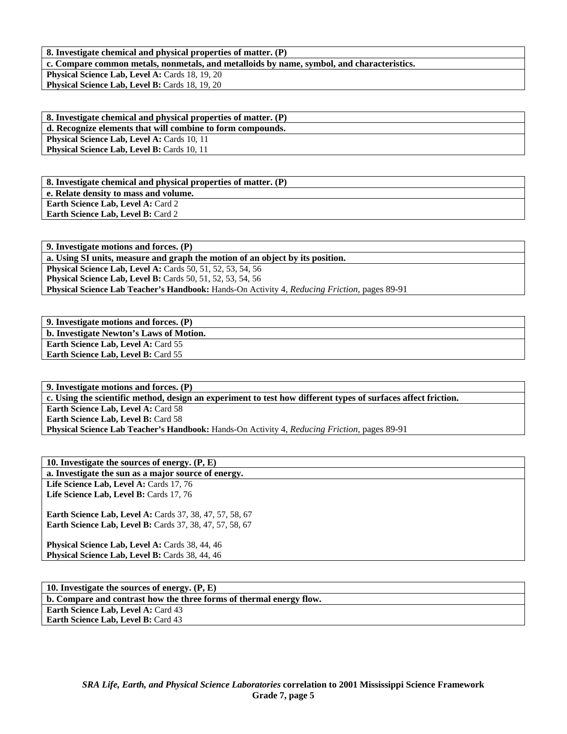**8. Investigate chemical and physical properties of matter. (P)** 

**c. Compare common metals, nonmetals, and metalloids by name, symbol, and characteristics.** 

Physical Science Lab, Level A: Cards 18, 19, 20 Physical Science Lab, Level B: Cards 18, 19, 20

**8. Investigate chemical and physical properties of matter. (P) d. Recognize elements that will combine to form compounds. Physical Science Lab, Level A: Cards 10, 11 Physical Science Lab, Level B: Cards 10, 11** 

**8. Investigate chemical and physical properties of matter. (P) e. Relate density to mass and volume. Earth Science Lab, Level A: Card 2 Earth Science Lab, Level B: Card 2** 

**9. Investigate motions and forces. (P) a. Using SI units, measure and graph the motion of an object by its position. Physical Science Lab, Level A:** Cards 50, 51, 52, 53, 54, 56 **Physical Science Lab, Level B:** Cards 50, 51, 52, 53, 54, 56 **Physical Science Lab Teacher's Handbook:** Hands-On Activity 4, *Reducing Friction,* pages 89-91

**9. Investigate motions and forces. (P) b. Investigate Newton's Laws of Motion. Earth Science Lab, Level A: Card 55** Earth Science Lab, Level B: Card 55

**9. Investigate motions and forces. (P) c. Using the scientific method, design an experiment to test how different types of surfaces affect friction. Earth Science Lab, Level A: Card 58 Earth Science Lab, Level B: Card 58 Physical Science Lab Teacher's Handbook:** Hands-On Activity 4, *Reducing Friction,* pages 89-91

**10. Investigate the sources of energy. (P, E) a. Investigate the sun as a major source of energy.**  Life Science Lab, Level A: Cards 17, 76 Life Science Lab, Level B: Cards 17, 76

**Earth Science Lab, Level A: Cards 37, 38, 47, 57, 58, 67 Earth Science Lab, Level B:** Cards 37, 38, 47, 57, 58, 67

Physical Science Lab, Level A: Cards 38, 44, 46 Physical Science Lab, Level B: Cards 38, 44, 46

**10. Investigate the sources of energy. (P, E) b. Compare and contrast how the three forms of thermal energy flow.** 

**Earth Science Lab, Level A: Card 43 Earth Science Lab, Level B: Card 43**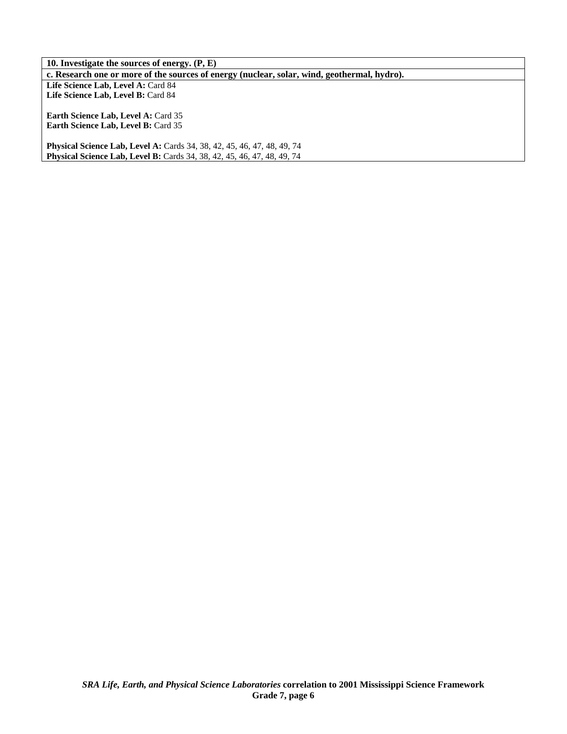**10. Investigate the sources of energy. (P, E) c. Research one or more of the sources of energy (nuclear, solar, wind, geothermal, hydro).**  Life Science Lab, Level A: Card 84 Life Science Lab, Level B: Card 84 **Earth Science Lab, Level A:** Card 35 **Earth Science Lab, Level B:** Card 35 **Physical Science Lab, Level A:** Cards 34, 38, 42, 45, 46, 47, 48, 49, 74

**Physical Science Lab, Level B:** Cards 34, 38, 42, 45, 46, 47, 48, 49, 74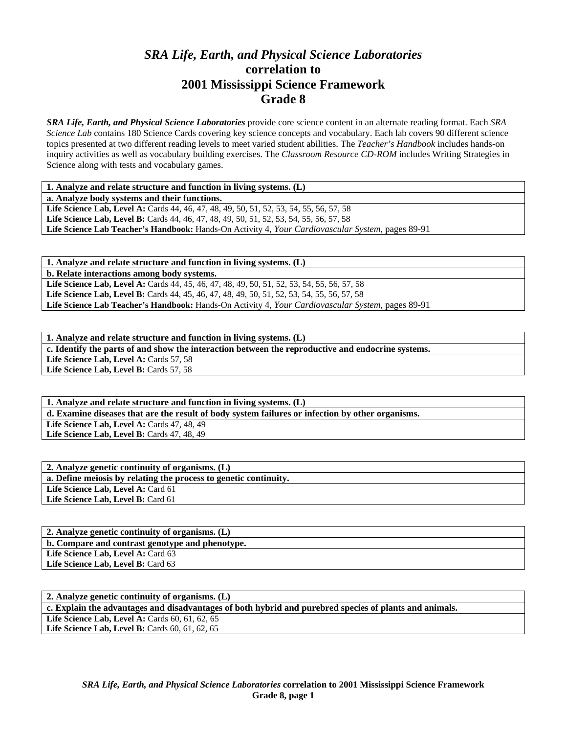## *SRA Life, Earth, and Physical Science Laboratories*  **correlation to 2001 Mississippi Science Framework Grade 8**

*SRA Life, Earth, and Physical Science Laboratories* provide core science content in an alternate reading format. Each *SRA Science Lab* contains 180 Science Cards covering key science concepts and vocabulary. Each lab covers 90 different science topics presented at two different reading levels to meet varied student abilities. The *Teacher's Handbook* includes hands-on inquiry activities as well as vocabulary building exercises. The *Classroom Resource CD-ROM* includes Writing Strategies in Science along with tests and vocabulary games.

| 1. Analyze and relate structure and function in living systems. (L) |  |
|---------------------------------------------------------------------|--|
|---------------------------------------------------------------------|--|

**a. Analyze body systems and their functions.** 

Life Science Lab, Level A: Cards 44, 46, 47, 48, 49, 50, 51, 52, 53, 54, 55, 56, 57, 58 Life Science Lab, Level B: Cards 44, 46, 47, 48, 49, 50, 51, 52, 53, 54, 55, 56, 57, 58 **Life Science Lab Teacher's Handbook:** Hands-On Activity 4, *Your Cardiovascular System,* pages 89-91

**1. Analyze and relate structure and function in living systems. (L)** 

**b. Relate interactions among body systems.** 

**Life Science Lab, Level A:** Cards 44, 45, 46, 47, 48, 49, 50, 51, 52, 53, 54, 55, 56, 57, 58 Life Science Lab, Level B: Cards 44, 45, 46, 47, 48, 49, 50, 51, 52, 53, 54, 55, 56, 57, 58 **Life Science Lab Teacher's Handbook:** Hands-On Activity 4, *Your Cardiovascular System,* pages 89-91

**1. Analyze and relate structure and function in living systems. (L) c. Identify the parts of and show the interaction between the reproductive and endocrine systems.**  Life Science Lab, Level A: Cards 57, 58

Life Science Lab, Level B: Cards 57, 58

**1. Analyze and relate structure and function in living systems. (L) d. Examine diseases that are the result of body system failures or infection by other organisms.**  Life Science Lab, Level A: Cards 47, 48, 49 Life Science Lab, Level B: Cards 47, 48, 49

| 2. Analyze genetic continuity of organisms. (L)                  |
|------------------------------------------------------------------|
| a. Define meiosis by relating the process to genetic continuity. |
| Life Science Lab, Level A: Card 61                               |
| Life Science Lab, Level B: Card 61                               |
|                                                                  |

| 2. Analyze genetic continuity of organisms. (L) |
|-------------------------------------------------|
| b. Compare and contrast genotype and phenotype. |
| <b>Life Science Lab, Level A: Card 63</b>       |
| Life Science Lab, Level B: Card 63              |

| 2. Analyze genetic continuity of organisms. (L)                                                        |
|--------------------------------------------------------------------------------------------------------|
| c. Explain the advantages and disadvantages of both hybrid and purebred species of plants and animals. |
| Life Science Lab, Level A: Cards $60, 61, 62, 65$                                                      |
| Life Science Lab, Level B: Cards $60, 61, 62, 65$                                                      |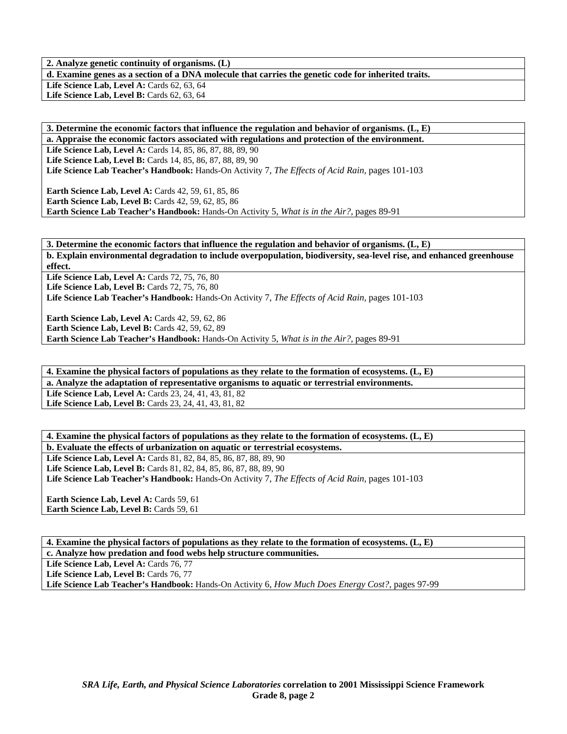**2. Analyze genetic continuity of organisms. (L) d. Examine genes as a section of a DNA molecule that carries the genetic code for inherited traits. Life Science Lab, Level A: Cards 62, 63, 64 Life Science Lab, Level B: Cards 62, 63, 64** 

**3. Determine the economic factors that influence the regulation and behavior of organisms. (L, E) a. Appraise the economic factors associated with regulations and protection of the environment. Life Science Lab, Level A:** Cards 14, 85, 86, 87, 88, 89, 90 **Life Science Lab, Level B:** Cards 14, 85, 86, 87, 88, 89, 90 **Life Science Lab Teacher's Handbook:** Hands-On Activity 7, *The Effects of Acid Rain,* pages 101-103

**Earth Science Lab, Level A: Cards 42, 59, 61, 85, 86 Earth Science Lab, Level B: Cards 42, 59, 62, 85, 86 Earth Science Lab Teacher's Handbook:** Hands-On Activity 5, *What is in the Air?,* pages 89-91

**3. Determine the economic factors that influence the regulation and behavior of organisms. (L, E) b. Explain environmental degradation to include overpopulation, biodiversity, sea-level rise, and enhanced greenhouse effect.** 

**Life Science Lab, Level A: Cards 72, 75, 76, 80** Life Science Lab, Level B: Cards 72, 75, 76, 80 **Life Science Lab Teacher's Handbook:** Hands-On Activity 7, *The Effects of Acid Rain,* pages 101-103

**Earth Science Lab, Level A: Cards 42, 59, 62, 86 Earth Science Lab, Level B:** Cards 42, 59, 62, 89 **Earth Science Lab Teacher's Handbook:** Hands-On Activity 5, *What is in the Air?,* pages 89-91

**4. Examine the physical factors of populations as they relate to the formation of ecosystems. (L, E) a. Analyze the adaptation of representative organisms to aquatic or terrestrial environments.**  Life Science Lab, Level A: Cards 23, 24, 41, 43, 81, 82 Life Science Lab, Level B: Cards 23, 24, 41, 43, 81, 82

**4. Examine the physical factors of populations as they relate to the formation of ecosystems. (L, E) b. Evaluate the effects of urbanization on aquatic or terrestrial ecosystems.**  Life Science Lab, Level A: Cards 81, 82, 84, 85, 86, 87, 88, 89, 90

Life Science Lab, Level B: Cards 81, 82, 84, 85, 86, 87, 88, 89, 90 **Life Science Lab Teacher's Handbook:** Hands-On Activity 7, *The Effects of Acid Rain,* pages 101-103

**Earth Science Lab, Level A: Cards 59, 61** Earth Science Lab, Level B: Cards 59, 61

**4. Examine the physical factors of populations as they relate to the formation of ecosystems. (L, E) c. Analyze how predation and food webs help structure communities.** 

Life Science Lab, Level A: Cards 76, 77

Life Science Lab, Level B: Cards 76, 77

**Life Science Lab Teacher's Handbook:** Hands-On Activity 6, *How Much Does Energy Cost?,* pages 97-99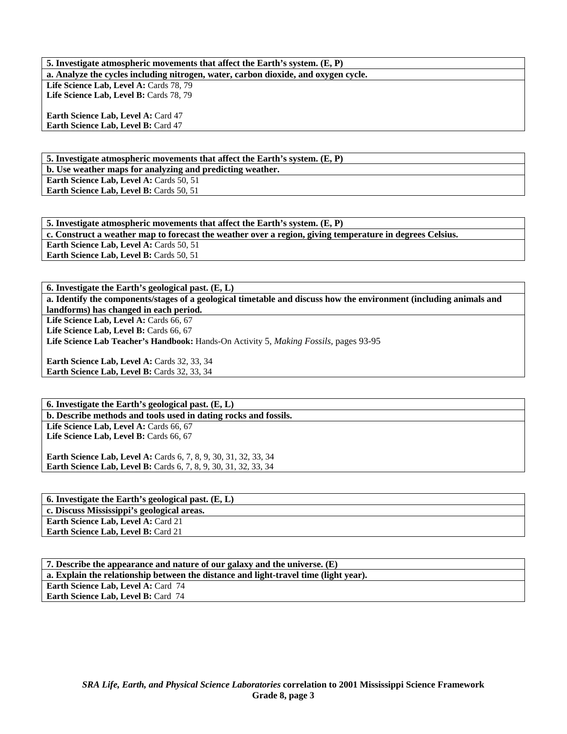**5. Investigate atmospheric movements that affect the Earth's system. (E, P) a. Analyze the cycles including nitrogen, water, carbon dioxide, and oxygen cycle.**  Life Science Lab, Level A: Cards 78, 79 Life Science Lab, Level B: Cards 78, 79 **Earth Science Lab, Level A: Card 47 Earth Science Lab, Level B: Card 47** 

**5. Investigate atmospheric movements that affect the Earth's system. (E, P)** 

**b. Use weather maps for analyzing and predicting weather.** 

**Earth Science Lab, Level A: Cards 50, 51 Earth Science Lab, Level B: Cards 50, 51** 

**5. Investigate atmospheric movements that affect the Earth's system. (E, P) c. Construct a weather map to forecast the weather over a region, giving temperature in degrees Celsius. Earth Science Lab, Level A: Cards 50, 51** Earth Science Lab, Level B: Cards 50, 51

**6. Investigate the Earth's geological past. (E, L)** 

**a. Identify the components/stages of a geological timetable and discuss how the environment (including animals and landforms) has changed in each period.** 

Life Science Lab, Level A: Cards 66, 67

Life Science Lab, Level B: Cards 66, 67

**Life Science Lab Teacher's Handbook:** Hands-On Activity 5, *Making Fossils,* pages 93-95

Earth Science Lab, Level A: Cards 32, 33, 34 Earth Science Lab, Level B: Cards 32, 33, 34

**6. Investigate the Earth's geological past. (E, L) b. Describe methods and tools used in dating rocks and fossils.**  Life Science Lab, Level A: Cards 66, 67 Life Science Lab, Level B: Cards 66, 67

**Earth Science Lab, Level A: Cards 6, 7, 8, 9, 30, 31, 32, 33, 34 Earth Science Lab, Level B:** Cards 6, 7, 8, 9, 30, 31, 32, 33, 34

| 6. Investigate the Earth's geological past. $(E, L)$ |
|------------------------------------------------------|
| c. Discuss Mississippi's geological areas.           |
| <b>Earth Science Lab, Level A: Card 21</b>           |
| <b>Earth Science Lab, Level B: Card 21</b>           |
|                                                      |

**7. Describe the appearance and nature of our galaxy and the universe. (E) a. Explain the relationship between the distance and light-travel time (light year). Earth Science Lab, Level A: Card 74 Earth Science Lab, Level B: Card 74**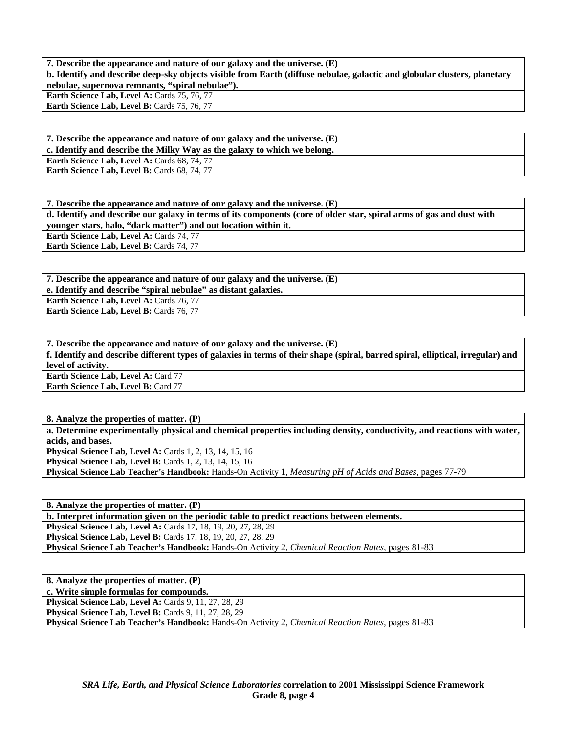**7. Describe the appearance and nature of our galaxy and the universe. (E) b. Identify and describe deep-sky objects visible from Earth (diffuse nebulae, galactic and globular clusters, planetary nebulae, supernova remnants, "spiral nebulae"). Earth Science Lab, Level A: Cards 75, 76, 77** 

Earth Science Lab, Level B: Cards 75, 76, 77

**7. Describe the appearance and nature of our galaxy and the universe. (E) c. Identify and describe the Milky Way as the galaxy to which we belong.** 

**Earth Science Lab, Level A: Cards 68, 74, 77** 

Earth Science Lab, Level B: Cards 68, 74, 77

**7. Describe the appearance and nature of our galaxy and the universe. (E) d. Identify and describe our galaxy in terms of its components (core of older star, spiral arms of gas and dust with younger stars, halo, "dark matter") and out location within it. Earth Science Lab, Level A: Cards 74, 77 Earth Science Lab, Level B: Cards 74, 77** 

**7. Describe the appearance and nature of our galaxy and the universe. (E) e. Identify and describe "spiral nebulae" as distant galaxies.**  Earth Science Lab, Level A: Cards 76, 77 **Earth Science Lab, Level B: Cards 76, 77** 

**7. Describe the appearance and nature of our galaxy and the universe. (E) f. Identify and describe different types of galaxies in terms of their shape (spiral, barred spiral, elliptical, irregular) and level of activity. Earth Science Lab, Level A: Card 77 Earth Science Lab, Level B: Card 77** 

**8. Analyze the properties of matter. (P) a. Determine experimentally physical and chemical properties including density, conductivity, and reactions with water, acids, and bases. Physical Science Lab, Level A: Cards 1, 2, 13, 14, 15, 16 Physical Science Lab, Level B:** Cards 1, 2, 13, 14, 15, 16

**Physical Science Lab Teacher's Handbook:** Hands-On Activity 1, *Measuring pH of Acids and Bases,* pages 77-79

**8. Analyze the properties of matter. (P) b. Interpret information given on the periodic table to predict reactions between elements.** 

**Physical Science Lab, Level A:** Cards 17, 18, 19, 20, 27, 28, 29 **Physical Science Lab, Level B:** Cards 17, 18, 19, 20, 27, 28, 29 **Physical Science Lab Teacher's Handbook:** Hands-On Activity 2, *Chemical Reaction Rates,* pages 81-83

**8. Analyze the properties of matter. (P) c. Write simple formulas for compounds. Physical Science Lab, Level A: Cards 9, 11, 27, 28, 29 Physical Science Lab, Level B: Cards 9, 11, 27, 28, 29 Physical Science Lab Teacher's Handbook:** Hands-On Activity 2, *Chemical Reaction Rates,* pages 81-83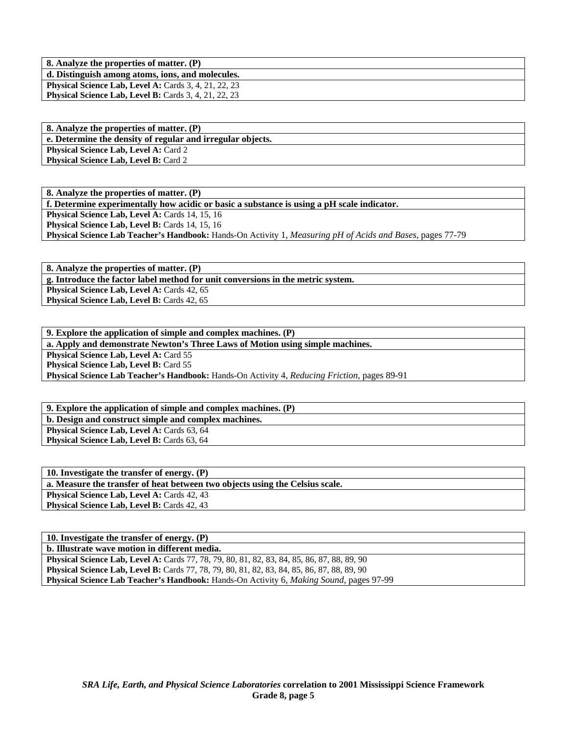**8. Analyze the properties of matter. (P) d. Distinguish among atoms, ions, and molecules. Physical Science Lab, Level A: Cards 3, 4, 21, 22, 23 Physical Science Lab, Level B:** Cards 3, 4, 21, 22, 23

**8. Analyze the properties of matter. (P) e. Determine the density of regular and irregular objects. Physical Science Lab, Level A: Card 2 Physical Science Lab, Level B: Card 2** 

**8. Analyze the properties of matter. (P) f. Determine experimentally how acidic or basic a substance is using a pH scale indicator.**  Physical Science Lab, Level A: Cards 14, 15, 16 Physical Science Lab, Level B: Cards 14, 15, 16 **Physical Science Lab Teacher's Handbook:** Hands-On Activity 1, *Measuring pH of Acids and Bases,* pages 77-79

**8. Analyze the properties of matter. (P) g. Introduce the factor label method for unit conversions in the metric system.**  Physical Science Lab, Level A: Cards 42, 65 Physical Science Lab, Level B: Cards 42, 65

**9. Explore the application of simple and complex machines. (P) a. Apply and demonstrate Newton's Three Laws of Motion using simple machines. Physical Science Lab, Level A: Card 55 Physical Science Lab, Level B: Card 55 Physical Science Lab Teacher's Handbook:** Hands-On Activity 4, *Reducing Friction,* pages 89-91

**9. Explore the application of simple and complex machines. (P) b. Design and construct simple and complex machines.**  Physical Science Lab, Level A: Cards 63, 64 **Physical Science Lab, Level B: Cards 63, 64** 

| 10. Investigate the transfer of energy. $(P)$                                |
|------------------------------------------------------------------------------|
| a. Measure the transfer of heat between two objects using the Celsius scale. |
| <b>Physical Science Lab, Level A: Cards 42, 43</b>                           |
| <b>Physical Science Lab, Level B: Cards 42, 43</b>                           |
|                                                                              |

**10. Investigate the transfer of energy. (P) b. Illustrate wave motion in different media. Physical Science Lab, Level A:** Cards 77, 78, 79, 80, 81, 82, 83, 84, 85, 86, 87, 88, 89, 90 **Physical Science Lab, Level B:** Cards 77, 78, 79, 80, 81, 82, 83, 84, 85, 86, 87, 88, 89, 90 **Physical Science Lab Teacher's Handbook:** Hands-On Activity 6, *Making Sound,* pages 97-99